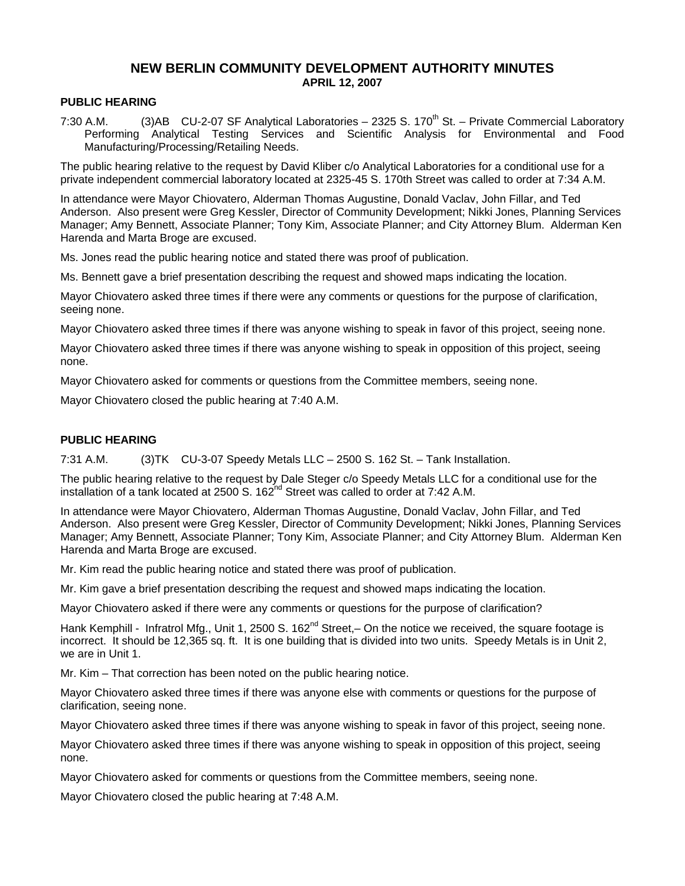# **NEW BERLIN COMMUNITY DEVELOPMENT AUTHORITY MINUTES APRIL 12, 2007**

#### **PUBLIC HEARING**

7:30 A.M. (3)AB CU-2-07 SF Analytical Laboratories – 2325 S. 170<sup>th</sup> St. – Private Commercial Laboratory Performing Analytical Testing Services and Scientific Analysis for Environmental and Food Manufacturing/Processing/Retailing Needs.

The public hearing relative to the request by David Kliber c/o Analytical Laboratories for a conditional use for a private independent commercial laboratory located at 2325-45 S. 170th Street was called to order at 7:34 A.M.

In attendance were Mayor Chiovatero, Alderman Thomas Augustine, Donald Vaclav, John Fillar, and Ted Anderson. Also present were Greg Kessler, Director of Community Development; Nikki Jones, Planning Services Manager; Amy Bennett, Associate Planner; Tony Kim, Associate Planner; and City Attorney Blum. Alderman Ken Harenda and Marta Broge are excused.

Ms. Jones read the public hearing notice and stated there was proof of publication.

Ms. Bennett gave a brief presentation describing the request and showed maps indicating the location.

Mayor Chiovatero asked three times if there were any comments or questions for the purpose of clarification, seeing none.

Mayor Chiovatero asked three times if there was anyone wishing to speak in favor of this project, seeing none.

Mayor Chiovatero asked three times if there was anyone wishing to speak in opposition of this project, seeing none.

Mayor Chiovatero asked for comments or questions from the Committee members, seeing none.

Mayor Chiovatero closed the public hearing at 7:40 A.M.

#### **PUBLIC HEARING**

7:31 A.M. (3)TK CU-3-07 Speedy Metals LLC – 2500 S. 162 St. – Tank Installation.

The public hearing relative to the request by Dale Steger c/o Speedy Metals LLC for a conditional use for the installation of a tank located at 2500 S.  $162<sup>nd</sup>$  Street was called to order at 7:42 A.M.

In attendance were Mayor Chiovatero, Alderman Thomas Augustine, Donald Vaclav, John Fillar, and Ted Anderson. Also present were Greg Kessler, Director of Community Development; Nikki Jones, Planning Services Manager; Amy Bennett, Associate Planner; Tony Kim, Associate Planner; and City Attorney Blum. Alderman Ken Harenda and Marta Broge are excused.

Mr. Kim read the public hearing notice and stated there was proof of publication.

Mr. Kim gave a brief presentation describing the request and showed maps indicating the location.

Mayor Chiovatero asked if there were any comments or questions for the purpose of clarification?

Hank Kemphill - Infratrol Mfg., Unit 1, 2500 S. 162<sup>nd</sup> Street, – On the notice we received, the square footage is incorrect. It should be 12,365 sq. ft. It is one building that is divided into two units. Speedy Metals is in Unit 2, we are in Unit 1.

Mr. Kim – That correction has been noted on the public hearing notice.

Mayor Chiovatero asked three times if there was anyone else with comments or questions for the purpose of clarification, seeing none.

Mayor Chiovatero asked three times if there was anyone wishing to speak in favor of this project, seeing none.

Mayor Chiovatero asked three times if there was anyone wishing to speak in opposition of this project, seeing none.

Mayor Chiovatero asked for comments or questions from the Committee members, seeing none.

Mayor Chiovatero closed the public hearing at 7:48 A.M.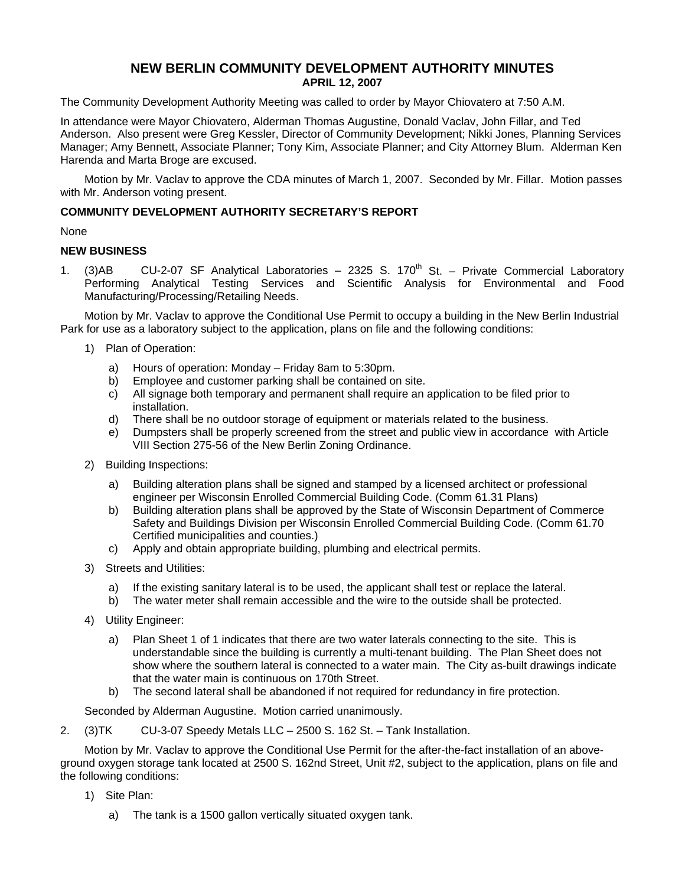# **NEW BERLIN COMMUNITY DEVELOPMENT AUTHORITY MINUTES APRIL 12, 2007**

The Community Development Authority Meeting was called to order by Mayor Chiovatero at 7:50 A.M.

In attendance were Mayor Chiovatero, Alderman Thomas Augustine, Donald Vaclav, John Fillar, and Ted Anderson. Also present were Greg Kessler, Director of Community Development; Nikki Jones, Planning Services Manager; Amy Bennett, Associate Planner; Tony Kim, Associate Planner; and City Attorney Blum. Alderman Ken Harenda and Marta Broge are excused.

Motion by Mr. Vaclav to approve the CDA minutes of March 1, 2007. Seconded by Mr. Fillar. Motion passes with Mr. Anderson voting present.

## **COMMUNITY DEVELOPMENT AUTHORITY SECRETARY'S REPORT**

None

### **NEW BUSINESS**

1. (3)AB CU-2-07 SF Analytical Laboratories – 2325 S.  $170<sup>th</sup>$  St. – Private Commercial Laboratory Performing Analytical Testing Services and Scientific Analysis for Environmental and Food Manufacturing/Processing/Retailing Needs.

Motion by Mr. Vaclav to approve the Conditional Use Permit to occupy a building in the New Berlin Industrial Park for use as a laboratory subject to the application, plans on file and the following conditions:

- 1) Plan of Operation:
	- a) Hours of operation: Monday Friday 8am to 5:30pm.
	- b) Employee and customer parking shall be contained on site.
	- c) All signage both temporary and permanent shall require an application to be filed prior to installation.
	- d) There shall be no outdoor storage of equipment or materials related to the business.
	- e) Dumpsters shall be properly screened from the street and public view in accordance with Article VIII Section 275-56 of the New Berlin Zoning Ordinance.
- 2) Building Inspections:
	- a) Building alteration plans shall be signed and stamped by a licensed architect or professional engineer per Wisconsin Enrolled Commercial Building Code. (Comm 61.31 Plans)
	- b) Building alteration plans shall be approved by the State of Wisconsin Department of Commerce Safety and Buildings Division per Wisconsin Enrolled Commercial Building Code. (Comm 61.70 Certified municipalities and counties.)
	- c) Apply and obtain appropriate building, plumbing and electrical permits.
- 3) Streets and Utilities:
	- a) If the existing sanitary lateral is to be used, the applicant shall test or replace the lateral.
	- b) The water meter shall remain accessible and the wire to the outside shall be protected.
- 4) Utility Engineer:
	- a) Plan Sheet 1 of 1 indicates that there are two water laterals connecting to the site. This is understandable since the building is currently a multi-tenant building. The Plan Sheet does not show where the southern lateral is connected to a water main. The City as-built drawings indicate that the water main is continuous on 170th Street.
	- b) The second lateral shall be abandoned if not required for redundancy in fire protection.

Seconded by Alderman Augustine. Motion carried unanimously.

2. (3)TK CU-3-07 Speedy Metals LLC – 2500 S. 162 St. – Tank Installation.

Motion by Mr. Vaclav to approve the Conditional Use Permit for the after-the-fact installation of an aboveground oxygen storage tank located at 2500 S. 162nd Street, Unit #2, subject to the application, plans on file and the following conditions:

- 1) Site Plan:
	- a) The tank is a 1500 gallon vertically situated oxygen tank.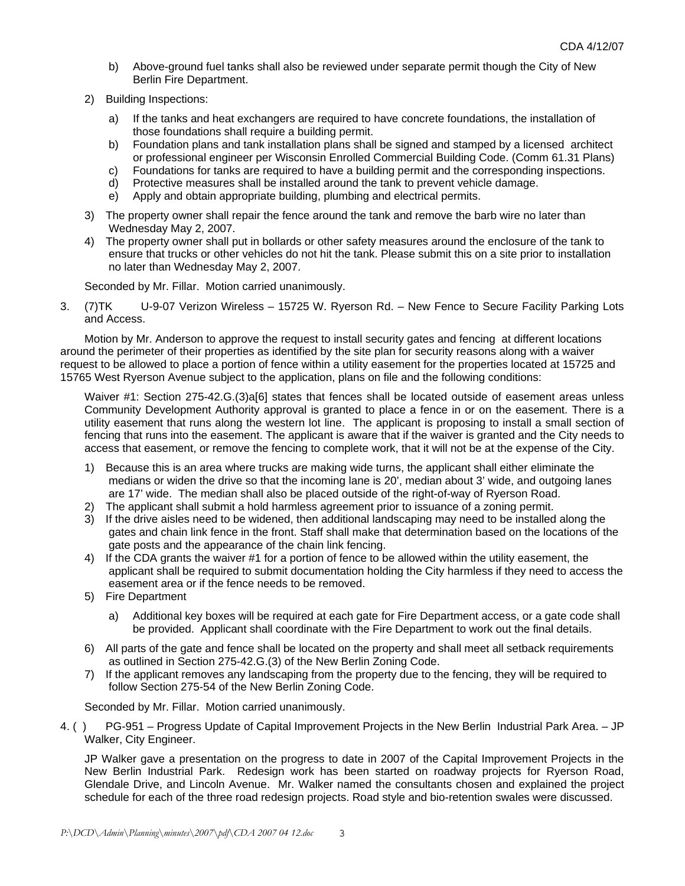- b) Above-ground fuel tanks shall also be reviewed under separate permit though the City of New Berlin Fire Department.
- 2) Building Inspections:
	- a) If the tanks and heat exchangers are required to have concrete foundations, the installation of those foundations shall require a building permit.
	- b) Foundation plans and tank installation plans shall be signed and stamped by a licensed architect or professional engineer per Wisconsin Enrolled Commercial Building Code. (Comm 61.31 Plans)
	- c) Foundations for tanks are required to have a building permit and the corresponding inspections.
	- d) Protective measures shall be installed around the tank to prevent vehicle damage.
	- e) Apply and obtain appropriate building, plumbing and electrical permits.
- 3) The property owner shall repair the fence around the tank and remove the barb wire no later than Wednesday May 2, 2007.
- 4) The property owner shall put in bollards or other safety measures around the enclosure of the tank to ensure that trucks or other vehicles do not hit the tank. Please submit this on a site prior to installation no later than Wednesday May 2, 2007.

Seconded by Mr. Fillar. Motion carried unanimously.

3. (7)TK U-9-07 Verizon Wireless – 15725 W. Ryerson Rd. – New Fence to Secure Facility Parking Lots and Access.

Motion by Mr. Anderson to approve the request to install security gates and fencing at different locations around the perimeter of their properties as identified by the site plan for security reasons along with a waiver request to be allowed to place a portion of fence within a utility easement for the properties located at 15725 and 15765 West Ryerson Avenue subject to the application, plans on file and the following conditions:

Waiver #1: Section 275-42.G.(3)a[6] states that fences shall be located outside of easement areas unless Community Development Authority approval is granted to place a fence in or on the easement. There is a utility easement that runs along the western lot line. The applicant is proposing to install a small section of fencing that runs into the easement. The applicant is aware that if the waiver is granted and the City needs to access that easement, or remove the fencing to complete work, that it will not be at the expense of the City.

- 1) Because this is an area where trucks are making wide turns, the applicant shall either eliminate the medians or widen the drive so that the incoming lane is 20', median about 3' wide, and outgoing lanes are 17' wide. The median shall also be placed outside of the right-of-way of Ryerson Road.
- 2) The applicant shall submit a hold harmless agreement prior to issuance of a zoning permit.
- 3) If the drive aisles need to be widened, then additional landscaping may need to be installed along the gates and chain link fence in the front. Staff shall make that determination based on the locations of the gate posts and the appearance of the chain link fencing.
- 4) If the CDA grants the waiver #1 for a portion of fence to be allowed within the utility easement, the applicant shall be required to submit documentation holding the City harmless if they need to access the easement area or if the fence needs to be removed.
- 5) Fire Department
	- a) Additional key boxes will be required at each gate for Fire Department access, or a gate code shall be provided. Applicant shall coordinate with the Fire Department to work out the final details.
- 6) All parts of the gate and fence shall be located on the property and shall meet all setback requirements as outlined in Section 275-42.G.(3) of the New Berlin Zoning Code.
- 7) If the applicant removes any landscaping from the property due to the fencing, they will be required to follow Section 275-54 of the New Berlin Zoning Code.

Seconded by Mr. Fillar. Motion carried unanimously.

4. ( ) PG-951 – Progress Update of Capital Improvement Projects in the New Berlin Industrial Park Area. – JP Walker, City Engineer.

JP Walker gave a presentation on the progress to date in 2007 of the Capital Improvement Projects in the New Berlin Industrial Park. Redesign work has been started on roadway projects for Ryerson Road, Glendale Drive, and Lincoln Avenue. Mr. Walker named the consultants chosen and explained the project schedule for each of the three road redesign projects. Road style and bio-retention swales were discussed.